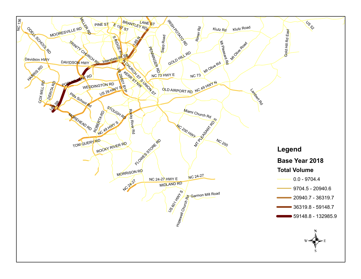